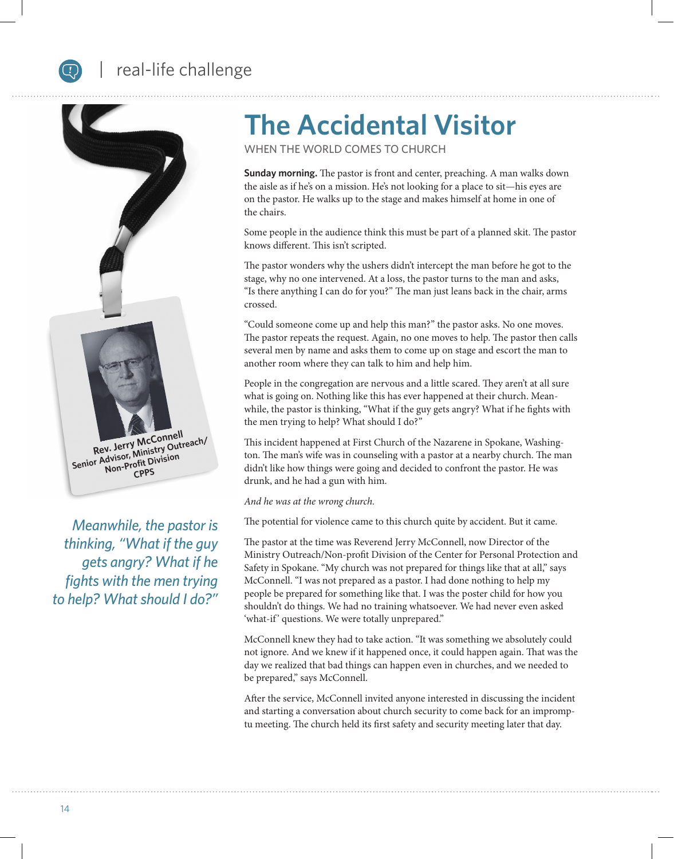## real-life challenge



*Meanwhile, the pastor is thinking, "What if the guy gets angry? What if he fights with the men trying to help? What should I do?"*

# **The Accidental Visitor**

WHEN THE WORLD COMES TO CHURCH

**Sunday morning.** The pastor is front and center, preaching. A man walks down the aisle as if he's on a mission. He's not looking for a place to sit—his eyes are on the pastor. He walks up to the stage and makes himself at home in one of the chairs.

Some people in the audience think this must be part of a planned skit. The pastor knows different. This isn't scripted.

The pastor wonders why the ushers didn't intercept the man before he got to the stage, why no one intervened. At a loss, the pastor turns to the man and asks, "Is there anything I can do for you?" The man just leans back in the chair, arms crossed.

"Could someone come up and help this man?" the pastor asks. No one moves. The pastor repeats the request. Again, no one moves to help. The pastor then calls several men by name and asks them to come up on stage and escort the man to another room where they can talk to him and help him.

People in the congregation are nervous and a little scared. They aren't at all sure what is going on. Nothing like this has ever happened at their church. Meanwhile, the pastor is thinking, "What if the guy gets angry? What if he fights with the men trying to help? What should I do?"

This incident happened at First Church of the Nazarene in Spokane, Washington. The man's wife was in counseling with a pastor at a nearby church. The man didn't like how things were going and decided to confront the pastor. He was drunk, and he had a gun with him.

*And he was at the wrong church.*

The potential for violence came to this church quite by accident. But it came.

The pastor at the time was Reverend Jerry McConnell, now Director of the Ministry Outreach/Non-profit Division of the Center for Personal Protection and Safety in Spokane. "My church was not prepared for things like that at all," says McConnell. "I was not prepared as a pastor. I had done nothing to help my people be prepared for something like that. I was the poster child for how you shouldn't do things. We had no training whatsoever. We had never even asked 'what-if' questions. We were totally unprepared."

McConnell knew they had to take action. "It was something we absolutely could not ignore. And we knew if it happened once, it could happen again. That was the day we realized that bad things can happen even in churches, and we needed to be prepared," says McConnell.

After the service, McConnell invited anyone interested in discussing the incident and starting a conversation about church security to come back for an impromptu meeting. The church held its first safety and security meeting later that day.